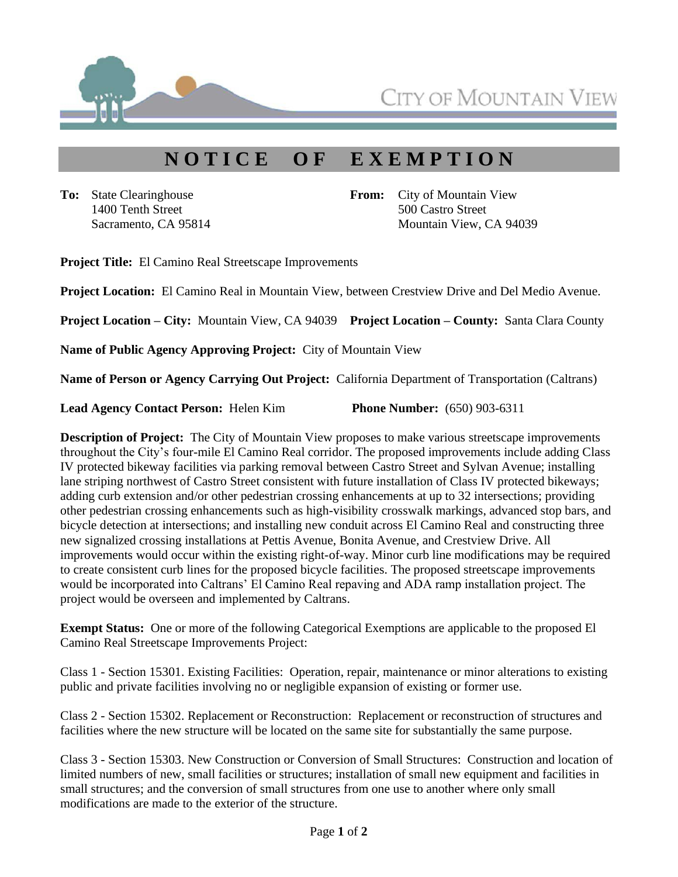

CITY OF MOUNTAIN V

## **N O T I C E O F E X E M P T I O N**

**To:** State Clearinghouse 1400 Tenth Street Sacramento, CA 95814 **From:** City of Mountain View 500 Castro Street Mountain View, CA 94039

**Project Title:** El Camino Real Streetscape Improvements

**Project Location:** El Camino Real in Mountain View, between Crestview Drive and Del Medio Avenue.

**Project Location – City:** Mountain View, CA 94039 **Project Location – County:** Santa Clara County

**Name of Public Agency Approving Project:** City of Mountain View

**Name of Person or Agency Carrying Out Project:** California Department of Transportation (Caltrans)

**Lead Agency Contact Person:** Helen Kim **Phone Number:** (650) 903-6311

**Description of Project:** The City of Mountain View proposes to make various streetscape improvements throughout the City's four-mile El Camino Real corridor. The proposed improvements include adding Class IV protected bikeway facilities via parking removal between Castro Street and Sylvan Avenue; installing lane striping northwest of Castro Street consistent with future installation of Class IV protected bikeways; adding curb extension and/or other pedestrian crossing enhancements at up to 32 intersections; providing other pedestrian crossing enhancements such as high-visibility crosswalk markings, advanced stop bars, and bicycle detection at intersections; and installing new conduit across El Camino Real and constructing three new signalized crossing installations at Pettis Avenue, Bonita Avenue, and Crestview Drive. All improvements would occur within the existing right-of-way. Minor curb line modifications may be required to create consistent curb lines for the proposed bicycle facilities. The proposed streetscape improvements would be incorporated into Caltrans' El Camino Real repaving and ADA ramp installation project. The project would be overseen and implemented by Caltrans.

**Exempt Status:** One or more of the following Categorical Exemptions are applicable to the proposed El Camino Real Streetscape Improvements Project:

Class 1 - Section 15301. Existing Facilities: Operation, repair, maintenance or minor alterations to existing public and private facilities involving no or negligible expansion of existing or former use.

Class 2 - Section 15302. Replacement or Reconstruction: Replacement or reconstruction of structures and facilities where the new structure will be located on the same site for substantially the same purpose.

Class 3 - Section 15303. New Construction or Conversion of Small Structures: Construction and location of limited numbers of new, small facilities or structures; installation of small new equipment and facilities in small structures; and the conversion of small structures from one use to another where only small modifications are made to the exterior of the structure.